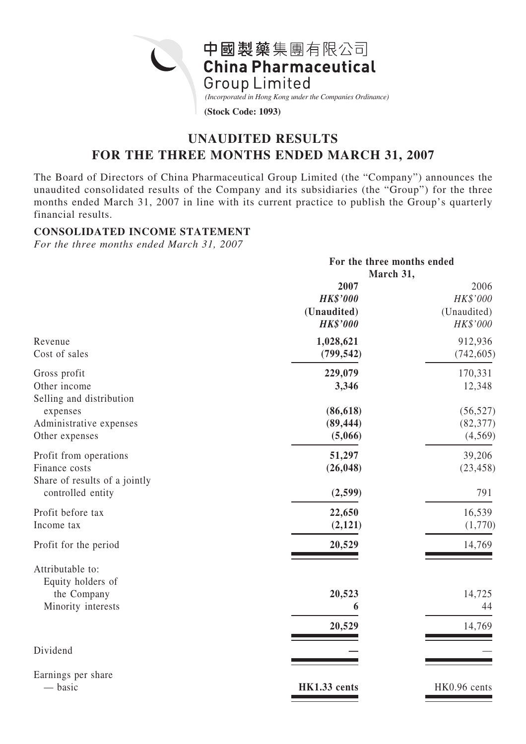中國製藥集團有限公司 **China Pharmaceutical Group Limited** *(Incorporated in Hong Kong under the Companies Ordinance)* **(Stock Code: 1093)**

# **UNAUDITED RESULTS FOR THE THREE MONTHS ENDED MARCH 31, 2007**

The Board of Directors of China Pharmaceutical Group Limited (the "Company") announces the unaudited consolidated results of the Company and its subsidiaries (the "Group") for the three months ended March 31, 2007 in line with its current practice to publish the Group's quarterly financial results.

### **CONSOLIDATED INCOME STATEMENT**

*For the three months ended March 31, 2007*

|                                                                            | For the three months ended<br>March 31,                   |                                             |  |  |
|----------------------------------------------------------------------------|-----------------------------------------------------------|---------------------------------------------|--|--|
|                                                                            | 2007<br><b>HK\$'000</b><br>(Unaudited)<br><b>HK\$'000</b> | 2006<br>HK\$'000<br>(Unaudited)<br>HK\$'000 |  |  |
| Revenue<br>Cost of sales                                                   | 1,028,621<br>(799, 542)                                   | 912,936<br>(742, 605)                       |  |  |
| Gross profit<br>Other income<br>Selling and distribution                   | 229,079<br>3,346                                          | 170,331<br>12,348                           |  |  |
| expenses<br>Administrative expenses<br>Other expenses                      | (86, 618)<br>(89, 444)<br>(5,066)                         | (56, 527)<br>(82, 377)<br>(4, 569)          |  |  |
| Profit from operations<br>Finance costs<br>Share of results of a jointly   | 51,297<br>(26, 048)                                       | 39,206<br>(23, 458)                         |  |  |
| controlled entity<br>Profit before tax<br>Income tax                       | (2, 599)<br>22,650<br>(2,121)                             | 791<br>16,539<br>(1,770)                    |  |  |
| Profit for the period                                                      | 20,529                                                    | 14,769                                      |  |  |
| Attributable to:<br>Equity holders of<br>the Company<br>Minority interests | 20,523<br>6<br>20,529                                     | 14,725<br>44<br>14,769                      |  |  |
| Dividend                                                                   |                                                           |                                             |  |  |
| Earnings per share<br>— basic                                              | HK1.33 cents                                              | HK0.96 cents                                |  |  |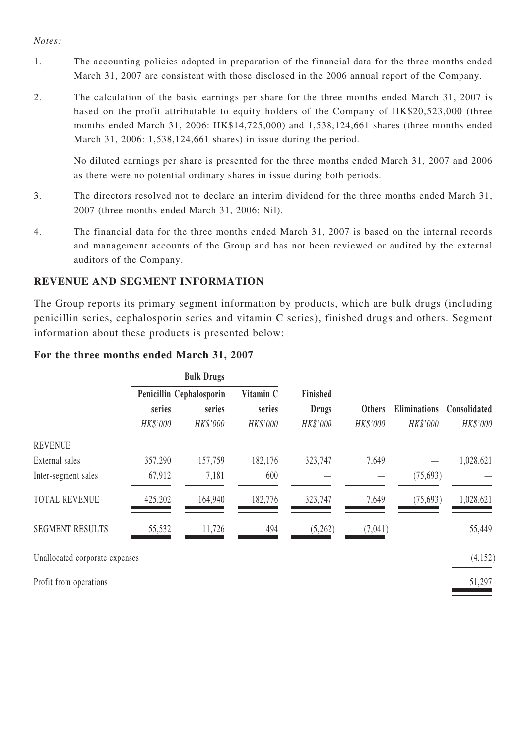#### *Notes:*

- 1. The accounting policies adopted in preparation of the financial data for the three months ended March 31, 2007 are consistent with those disclosed in the 2006 annual report of the Company.
- 2. The calculation of the basic earnings per share for the three months ended March 31, 2007 is based on the profit attributable to equity holders of the Company of HK\$20,523,000 (three months ended March 31, 2006: HK\$14,725,000) and 1,538,124,661 shares (three months ended March 31, 2006: 1,538,124,661 shares) in issue during the period.

No diluted earnings per share is presented for the three months ended March 31, 2007 and 2006 as there were no potential ordinary shares in issue during both periods.

- 3. The directors resolved not to declare an interim dividend for the three months ended March 31, 2007 (three months ended March 31, 2006: Nil).
- 4. The financial data for the three months ended March 31, 2007 is based on the internal records and management accounts of the Group and has not been reviewed or audited by the external auditors of the Company.

### **REVENUE AND SEGMENT INFORMATION**

The Group reports its primary segment information by products, which are bulk drugs (including penicillin series, cephalosporin series and vitamin C series), finished drugs and others. Segment information about these products is presented below:

### **For the three months ended March 31, 2007**

|                        | <b>Bulk Drugs</b>        |          |           |              |               |                     |              |
|------------------------|--------------------------|----------|-----------|--------------|---------------|---------------------|--------------|
|                        | Penicillin Cephalosporin |          | Vitamin C | Finished     |               |                     |              |
|                        | series                   | series   | series    | <b>Drugs</b> | <b>Others</b> | <b>Eliminations</b> | Consolidated |
|                        | HK\$'000                 | HK\$'000 | HK\$'000  | HK\$'000     | HK\$'000      | HK\$'000            | HK\$'000     |
| <b>REVENUE</b>         |                          |          |           |              |               |                     |              |
| External sales         | 357,290                  | 157,759  | 182,176   | 323,747      | 7,649         |                     | 1,028,621    |
| Inter-segment sales    | 67,912                   | 7,181    | 600       |              |               | (75, 693)           |              |
| <b>TOTAL REVENUE</b>   | 425,202                  | 164,940  | 182,776   | 323,747      | 7,649         | (75, 693)           | 1,028,621    |
| <b>SEGMENT RESULTS</b> | 55,532                   | 11,726   | 494       | (5,262)      | (7,041)       |                     | 55,449       |

Unallocated corporate expenses (4,152)

Profit from operations 51,297